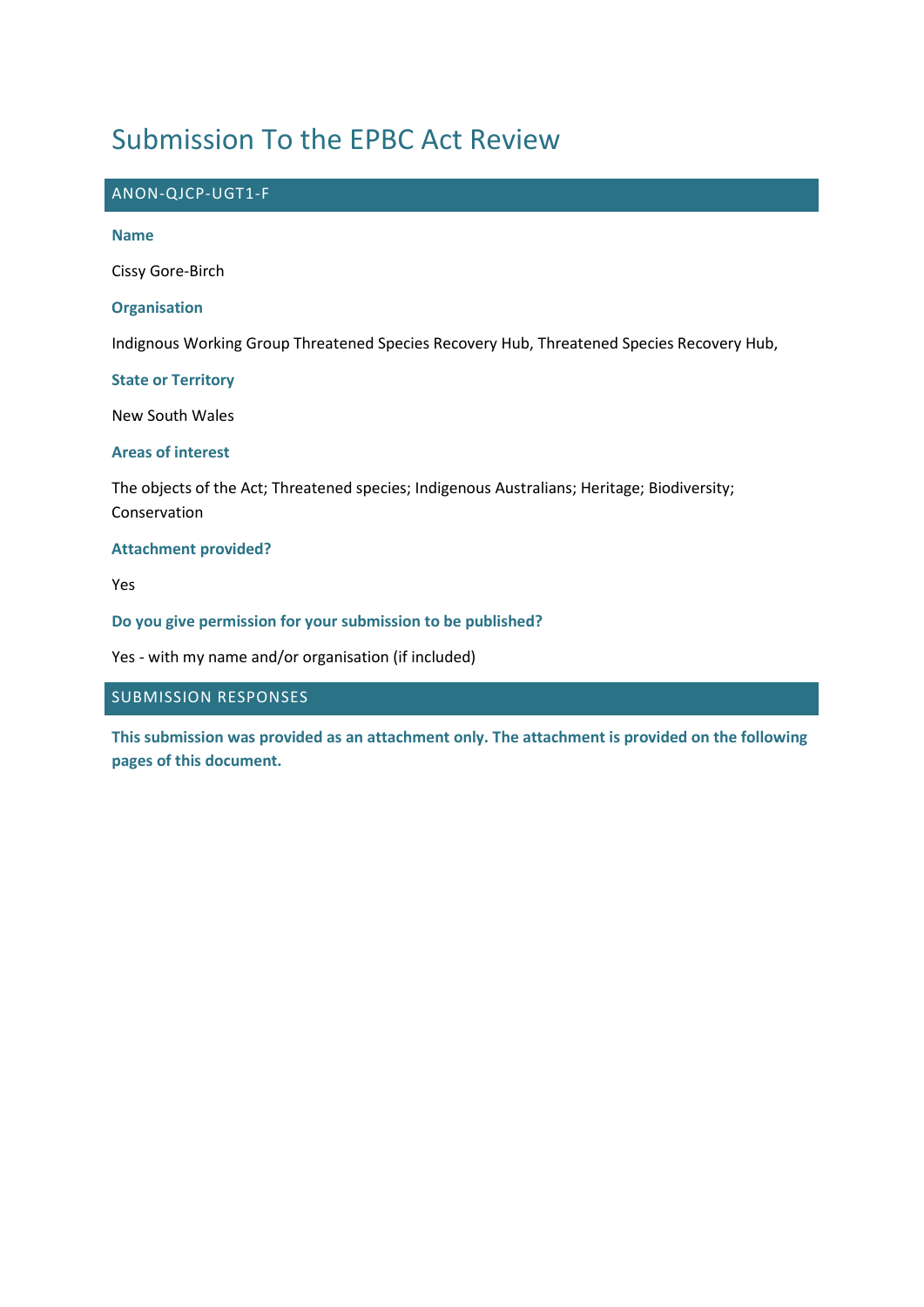## Submission To the EPBC Act Review

# ANON-QJCP-UGT1-F **Name** Cissy Gore-Birch **Organisation** Indignous Working Group Threatened Species Recovery Hub, Threatened Species Recovery Hub, **State or Territory** New South Wales **Areas of interest** The objects of the Act; Threatened species; Indigenous Australians; Heritage; Biodiversity; Conservation **Attachment provided?**

Yes

**Do you give permission for your submission to be published?**

Yes - with my name and/or organisation (if included)

#### SUBMISSION RESPONSES

**This submission was provided as an attachment only. The attachment is provided on the following pages of this document.**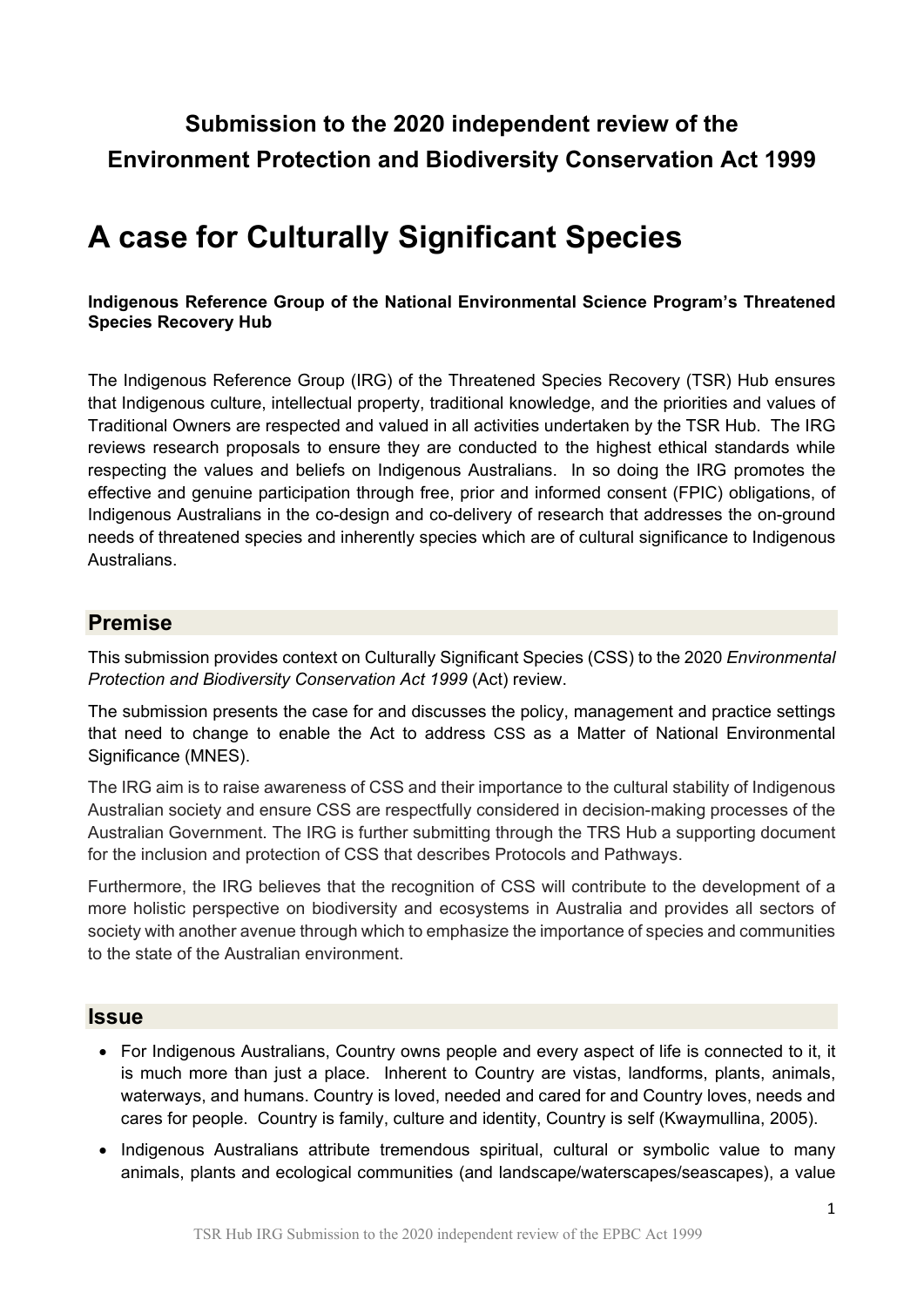### **Submission to the 2020 independent review of the Environment Protection and Biodiversity Conservation Act 1999**

# **A case for Culturally Significant Species**

#### **Indigenous Reference Group of the National Environmental Science Program's Threatened Species Recovery Hub**

The Indigenous Reference Group (IRG) of the Threatened Species Recovery (TSR) Hub ensures that Indigenous culture, intellectual property, traditional knowledge, and the priorities and values of Traditional Owners are respected and valued in all activities undertaken by the TSR Hub. The IRG reviews research proposals to ensure they are conducted to the highest ethical standards while respecting the values and beliefs on Indigenous Australians. In so doing the IRG promotes the effective and genuine participation through free, prior and informed consent (FPIC) obligations, of Indigenous Australians in the co-design and co-delivery of research that addresses the on-ground needs of threatened species and inherently species which are of cultural significance to Indigenous **Australians** 

#### **Premise**

This submission provides context on Culturally Significant Species (CSS) to the 2020 *Environmental Protection and Biodiversity Conservation Act 1999* (Act) review.

The submission presents the case for and discusses the policy, management and practice settings that need to change to enable the Act to address CSS as a Matter of National Environmental Significance (MNES).

The IRG aim is to raise awareness of CSS and their importance to the cultural stability of Indigenous Australian society and ensure CSS are respectfully considered in decision-making processes of the Australian Government. The IRG is further submitting through the TRS Hub a supporting document for the inclusion and protection of CSS that describes Protocols and Pathways.

Furthermore, the IRG believes that the recognition of CSS will contribute to the development of a more holistic perspective on biodiversity and ecosystems in Australia and provides all sectors of society with another avenue through which to emphasize the importance of species and communities to the state of the Australian environment.

#### **Issue**

- For Indigenous Australians, Country owns people and every aspect of life is connected to it, it is much more than just a place. Inherent to Country are vistas, landforms, plants, animals, waterways, and humans. Country is loved, needed and cared for and Country loves, needs and cares for people. Country is family, culture and identity, Country is self (Kwaymullina, 2005).
- Indigenous Australians attribute tremendous spiritual, cultural or symbolic value to many animals, plants and ecological communities (and landscape/waterscapes/seascapes), a value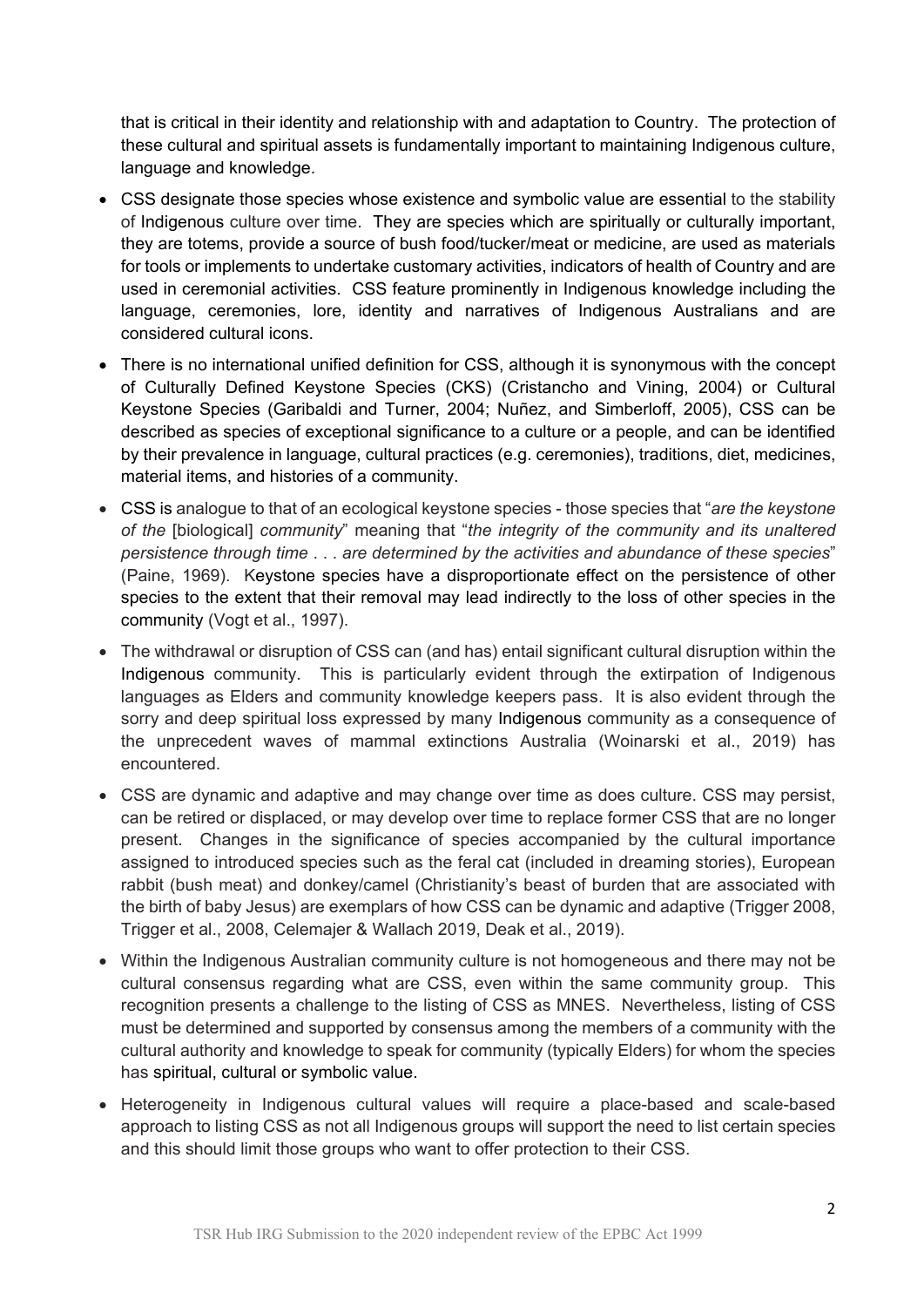that is critical in their identity and relationship with and adaptation to Country. The protection of these cultural and spiritual assets is fundamentally important to maintaining Indigenous culture, language and knowledge.

- CSS designate those species whose existence and symbolic value are essential to the stability of Indigenous culture over time. They are species which are spiritually or culturally important, they are totems, provide a source of bush food/tucker/meat or medicine, are used as materials for tools or implements to undertake customary activities, indicators of health of Country and are used in ceremonial activities. CSS feature prominently in Indigenous knowledge including the language, ceremonies, lore, identity and narratives of Indigenous Australians and are considered cultural icons.
- There is no international unified definition for CSS, although it is synonymous with the concept of Culturally Defined Keystone Species (CKS) (Cristancho and Vining, 2004) or Cultural Keystone Species (Garibaldi and Turner, 2004; Nuñez, and Simberloff, 2005), CSS can be described as species of exceptional significance to a culture or a people, and can be identified by their prevalence in language, cultural practices (e.g. ceremonies), traditions, diet, medicines, material items, and histories of a community.
- CSS is analogue to that of an ecological keystone species those species that "*are the keystone of the* [biological] *community*" meaning that "*the integrity of the community and its unaltered persistence through time* . . . *are determined by the activities and abundance of these species*" (Paine, 1969). Keystone species have a disproportionate effect on the persistence of other species to the extent that their removal may lead indirectly to the loss of other species in the community (Vogt et al., 1997).
- The withdrawal or disruption of CSS can (and has) entail significant cultural disruption within the Indigenous community. This is particularly evident through the extirpation of Indigenous languages as Elders and community knowledge keepers pass. It is also evident through the sorry and deep spiritual loss expressed by many Indigenous community as a consequence of the unprecedent waves of mammal extinctions Australia (Woinarski et al., 2019) has encountered.
- CSS are dynamic and adaptive and may change over time as does culture. CSS may persist, can be retired or displaced, or may develop over time to replace former CSS that are no longer present. Changes in the significance of species accompanied by the cultural importance assigned to introduced species such as the feral cat (included in dreaming stories), European rabbit (bush meat) and donkey/camel (Christianity's beast of burden that are associated with the birth of baby Jesus) are exemplars of how CSS can be dynamic and adaptive (Trigger 2008, Trigger et al., 2008, Celemajer & Wallach 2019, Deak et al., 2019).
- Within the Indigenous Australian community culture is not homogeneous and there may not be cultural consensus regarding what are CSS, even within the same community group. This recognition presents a challenge to the listing of CSS as MNES. Nevertheless, listing of CSS must be determined and supported by consensus among the members of a community with the cultural authority and knowledge to speak for community (typically Elders) for whom the species has spiritual, cultural or symbolic value.
- Heterogeneity in Indigenous cultural values will require a place-based and scale-based approach to listing CSS as not all Indigenous groups will support the need to list certain species and this should limit those groups who want to offer protection to their CSS.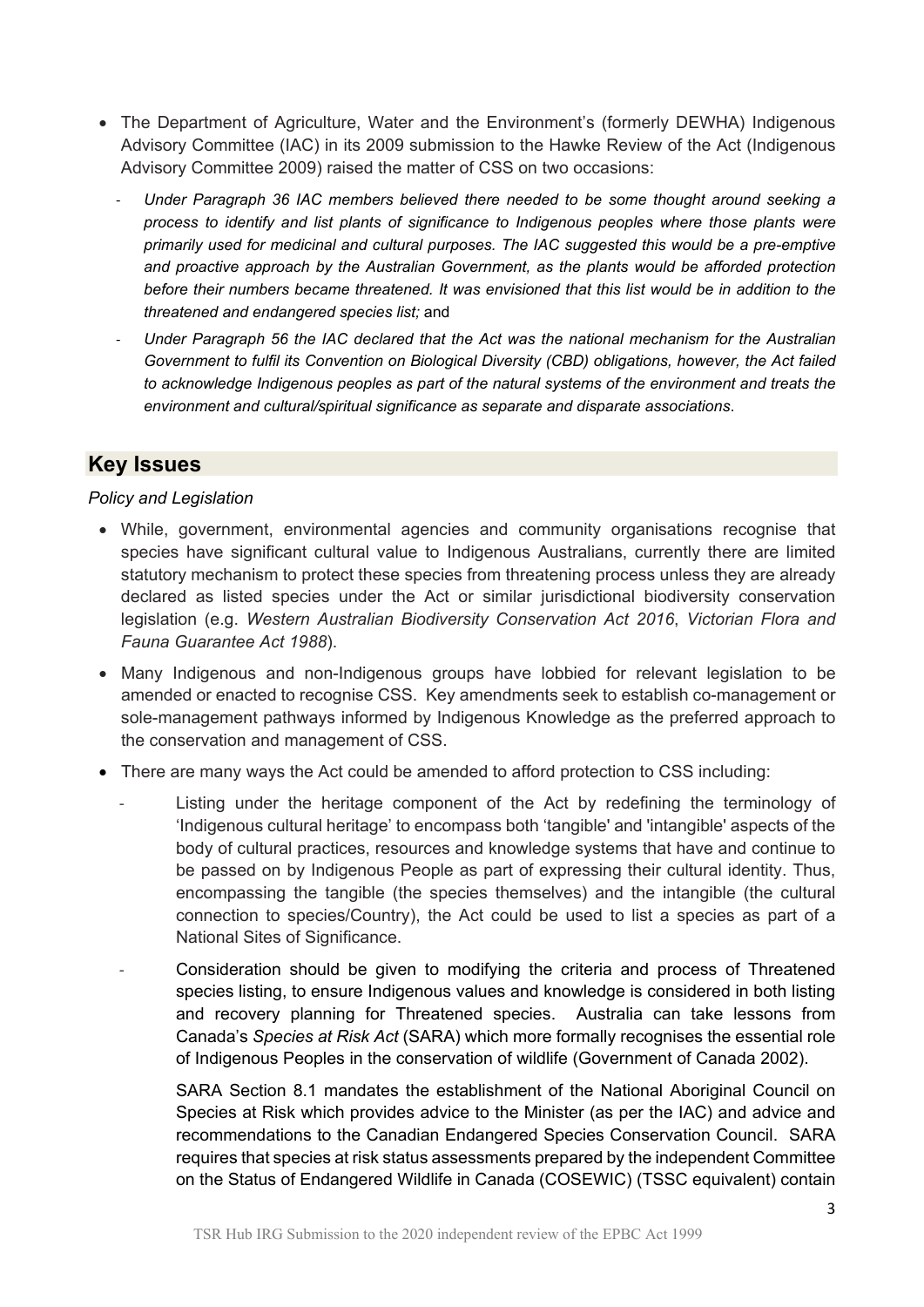- The Department of Agriculture, Water and the Environment's (formerly DEWHA) Indigenous Advisory Committee (IAC) in its 2009 submission to the Hawke Review of the Act (Indigenous Advisory Committee 2009) raised the matter of CSS on two occasions:
	- *Under Paragraph 36 IAC members believed there needed to be some thought around seeking a process to identify and list plants of significance to Indigenous peoples where those plants were primarily used for medicinal and cultural purposes. The IAC suggested this would be a pre-emptive and proactive approach by the Australian Government, as the plants would be afforded protection before their numbers became threatened. It was envisioned that this list would be in addition to the threatened and endangered species list;* and
	- *Under Paragraph 56 the IAC declared that the Act was the national mechanism for the Australian Government to fulfil its Convention on Biological Diversity (CBD) obligations, however, the Act failed to acknowledge Indigenous peoples as part of the natural systems of the environment and treats the environment and cultural/spiritual significance as separate and disparate associations*.

### **Key Issues**

#### *Policy and Legislation*

- While, government, environmental agencies and community organisations recognise that species have significant cultural value to Indigenous Australians, currently there are limited statutory mechanism to protect these species from threatening process unless they are already declared as listed species under the Act or similar jurisdictional biodiversity conservation legislation (e.g. *Western Australian Biodiversity Conservation Act 2016*, *Victorian Flora and Fauna Guarantee Act 1988*).
- Many Indigenous and non-Indigenous groups have lobbied for relevant legislation to be amended or enacted to recognise CSS. Key amendments seek to establish co-management or sole-management pathways informed by Indigenous Knowledge as the preferred approach to the conservation and management of CSS.
- There are many ways the Act could be amended to afford protection to CSS including:
	- Listing under the heritage component of the Act by redefining the terminology of 'Indigenous cultural heritage' to encompass both 'tangible' and 'intangible' aspects of the body of cultural practices, resources and knowledge systems that have and continue to be passed on by Indigenous People as part of expressing their cultural identity. Thus, encompassing the tangible (the species themselves) and the intangible (the cultural connection to species/Country), the Act could be used to list a species as part of a National Sites of Significance.
	- Consideration should be given to modifying the criteria and process of Threatened species listing, to ensure Indigenous values and knowledge is considered in both listing and recovery planning for Threatened species. Australia can take lessons from Canada's *Species at Risk Act* (SARA) which more formally recognises the essential role of Indigenous Peoples in the conservation of wildlife (Government of Canada 2002).

SARA Section 8.1 mandates the establishment of the National Aboriginal Council on Species at Risk which provides advice to the Minister (as per the IAC) and advice and recommendations to the Canadian Endangered Species Conservation Council. SARA requires that species at risk status assessments prepared by the independent Committee on the Status of Endangered Wildlife in Canada (COSEWIC) (TSSC equivalent) contain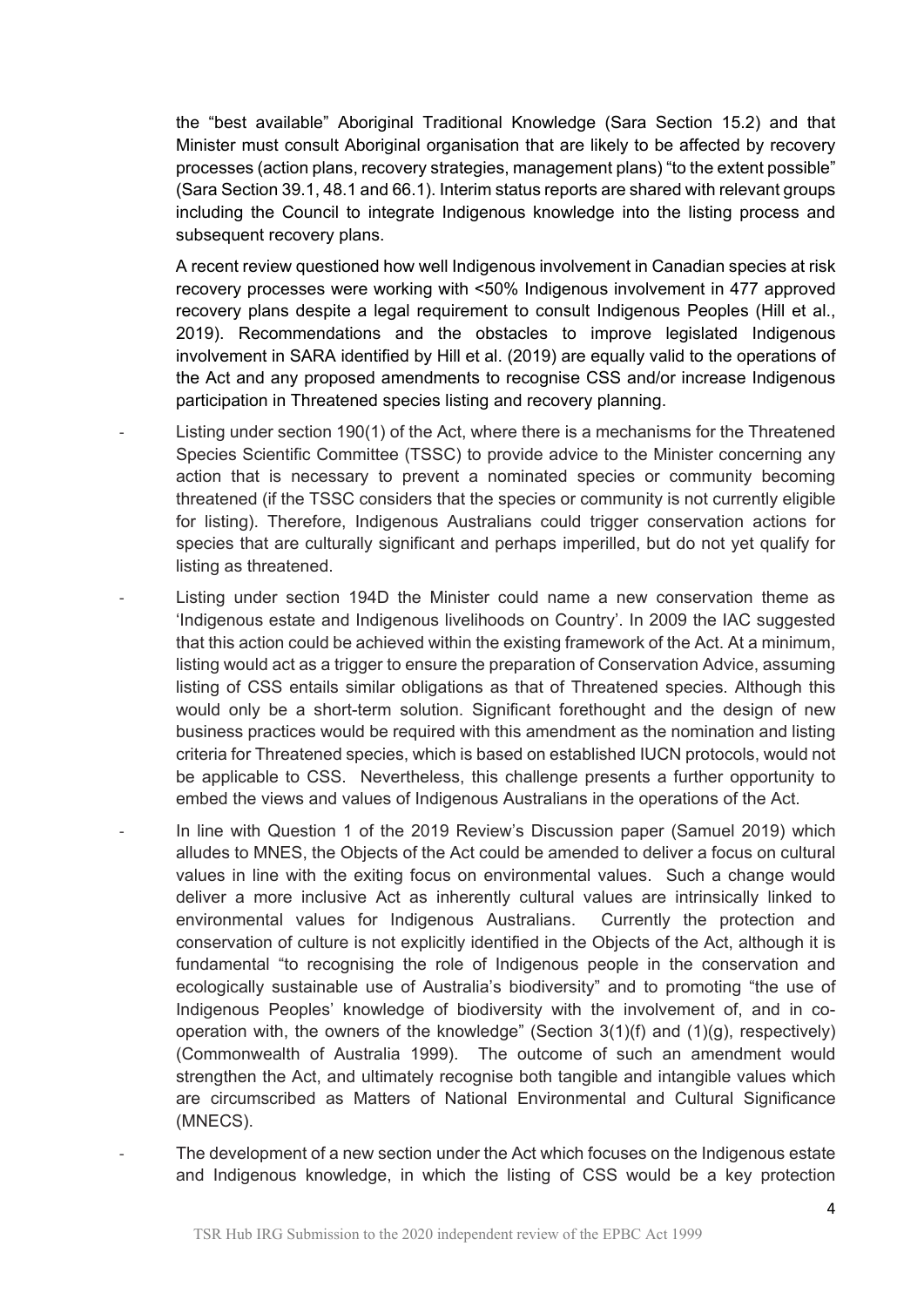the "best available" Aboriginal Traditional Knowledge (Sara Section 15.2) and that Minister must consult Aboriginal organisation that are likely to be affected by recovery processes (action plans, recovery strategies, management plans) "to the extent possible" (Sara Section 39.1, 48.1 and 66.1). Interim status reports are shared with relevant groups including the Council to integrate Indigenous knowledge into the listing process and subsequent recovery plans.

A recent review questioned how well Indigenous involvement in Canadian species at risk recovery processes were working with <50% Indigenous involvement in 477 approved recovery plans despite a legal requirement to consult Indigenous Peoples (Hill et al., 2019). Recommendations and the obstacles to improve legislated Indigenous involvement in SARA identified by Hill et al. (2019) are equally valid to the operations of the Act and any proposed amendments to recognise CSS and/or increase Indigenous participation in Threatened species listing and recovery planning.

- Listing under section 190(1) of the Act, where there is a mechanisms for the Threatened Species Scientific Committee (TSSC) to provide advice to the Minister concerning any action that is necessary to prevent a nominated species or community becoming threatened (if the TSSC considers that the species or community is not currently eligible for listing). Therefore, Indigenous Australians could trigger conservation actions for species that are culturally significant and perhaps imperilled, but do not yet qualify for listing as threatened.
- Listing under section 194D the Minister could name a new conservation theme as 'Indigenous estate and Indigenous livelihoods on Country'. In 2009 the IAC suggested that this action could be achieved within the existing framework of the Act. At a minimum, listing would act as a trigger to ensure the preparation of Conservation Advice, assuming listing of CSS entails similar obligations as that of Threatened species. Although this would only be a short-term solution. Significant forethought and the design of new business practices would be required with this amendment as the nomination and listing criteria for Threatened species, which is based on established IUCN protocols, would not be applicable to CSS. Nevertheless, this challenge presents a further opportunity to embed the views and values of Indigenous Australians in the operations of the Act.
- In line with Question 1 of the 2019 Review's Discussion paper (Samuel 2019) which alludes to MNES, the Objects of the Act could be amended to deliver a focus on cultural values in line with the exiting focus on environmental values. Such a change would deliver a more inclusive Act as inherently cultural values are intrinsically linked to environmental values for Indigenous Australians. Currently the protection and conservation of culture is not explicitly identified in the Objects of the Act, although it is fundamental "to recognising the role of Indigenous people in the conservation and ecologically sustainable use of Australia's biodiversity" and to promoting "the use of Indigenous Peoples' knowledge of biodiversity with the involvement of, and in cooperation with, the owners of the knowledge" (Section  $3(1)(f)$  and  $(1)(g)$ , respectively) (Commonwealth of Australia 1999). The outcome of such an amendment would strengthen the Act, and ultimately recognise both tangible and intangible values which are circumscribed as Matters of National Environmental and Cultural Significance (MNECS).
	- The development of a new section under the Act which focuses on the Indigenous estate and Indigenous knowledge, in which the listing of CSS would be a key protection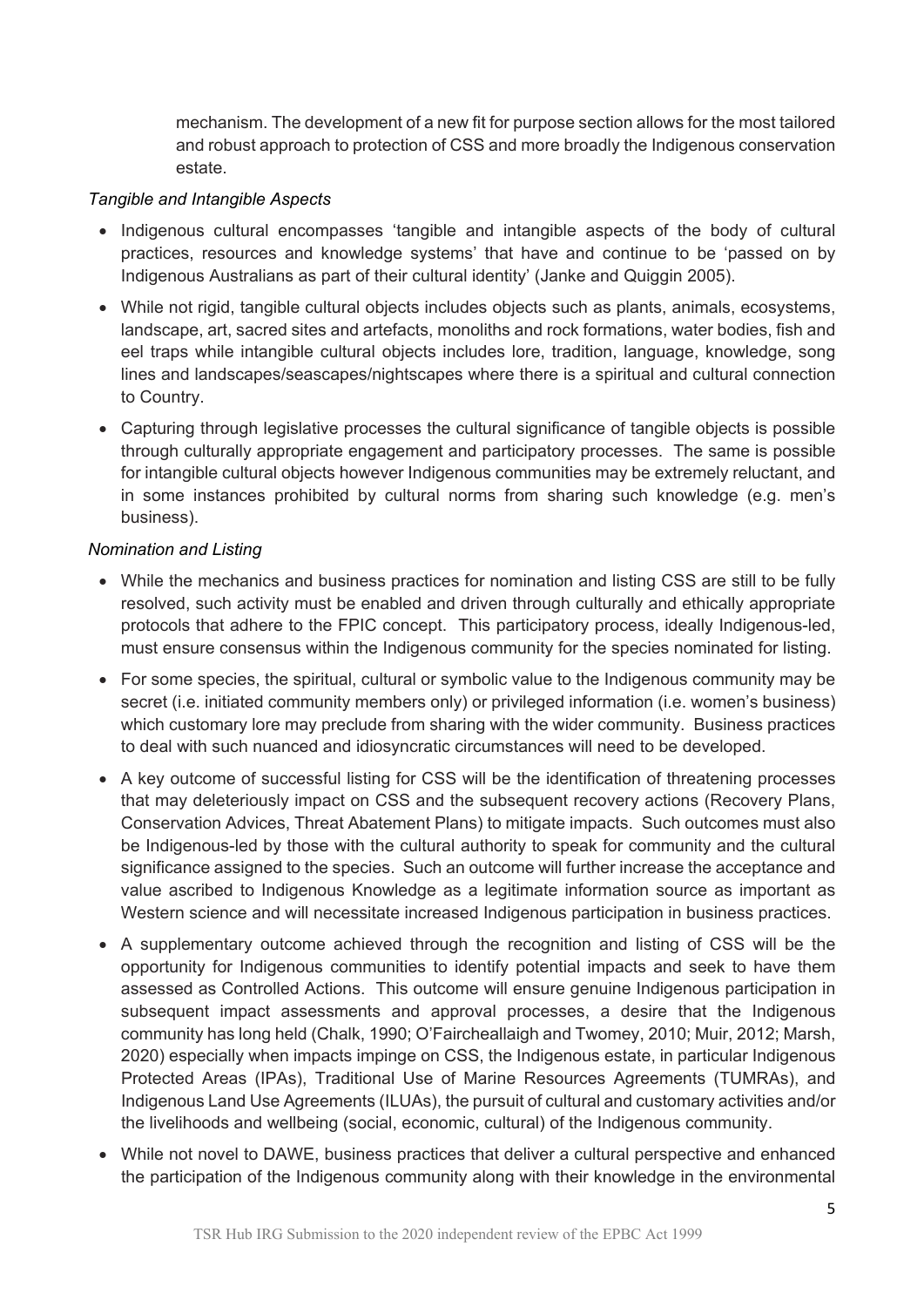mechanism. The development of a new fit for purpose section allows for the most tailored and robust approach to protection of CSS and more broadly the Indigenous conservation estate.

#### *Tangible and Intangible Aspects*

- Indigenous cultural encompasses 'tangible and intangible aspects of the body of cultural practices, resources and knowledge systems' that have and continue to be 'passed on by Indigenous Australians as part of their cultural identity' (Janke and Quiggin 2005).
- While not rigid, tangible cultural objects includes objects such as plants, animals, ecosystems, landscape, art, sacred sites and artefacts, monoliths and rock formations, water bodies, fish and eel traps while intangible cultural objects includes lore, tradition, language, knowledge, song lines and landscapes/seascapes/nightscapes where there is a spiritual and cultural connection to Country.
- Capturing through legislative processes the cultural significance of tangible objects is possible through culturally appropriate engagement and participatory processes. The same is possible for intangible cultural objects however Indigenous communities may be extremely reluctant, and in some instances prohibited by cultural norms from sharing such knowledge (e.g. men's business).

#### *Nomination and Listing*

- While the mechanics and business practices for nomination and listing CSS are still to be fully resolved, such activity must be enabled and driven through culturally and ethically appropriate protocols that adhere to the FPIC concept. This participatory process, ideally Indigenous-led, must ensure consensus within the Indigenous community for the species nominated for listing.
- For some species, the spiritual, cultural or symbolic value to the Indigenous community may be secret (i.e. initiated community members only) or privileged information (i.e. women's business) which customary lore may preclude from sharing with the wider community. Business practices to deal with such nuanced and idiosyncratic circumstances will need to be developed.
- A key outcome of successful listing for CSS will be the identification of threatening processes that may deleteriously impact on CSS and the subsequent recovery actions (Recovery Plans, Conservation Advices, Threat Abatement Plans) to mitigate impacts. Such outcomes must also be Indigenous-led by those with the cultural authority to speak for community and the cultural significance assigned to the species. Such an outcome will further increase the acceptance and value ascribed to Indigenous Knowledge as a legitimate information source as important as Western science and will necessitate increased Indigenous participation in business practices.
- A supplementary outcome achieved through the recognition and listing of CSS will be the opportunity for Indigenous communities to identify potential impacts and seek to have them assessed as Controlled Actions. This outcome will ensure genuine Indigenous participation in subsequent impact assessments and approval processes, a desire that the Indigenous community has long held (Chalk, 1990; O'Faircheallaigh and Twomey, 2010; Muir, 2012; Marsh, 2020) especially when impacts impinge on CSS, the Indigenous estate, in particular Indigenous Protected Areas (IPAs), Traditional Use of Marine Resources Agreements (TUMRAs), and Indigenous Land Use Agreements (ILUAs), the pursuit of cultural and customary activities and/or the livelihoods and wellbeing (social, economic, cultural) of the Indigenous community.
- While not novel to DAWE, business practices that deliver a cultural perspective and enhanced the participation of the Indigenous community along with their knowledge in the environmental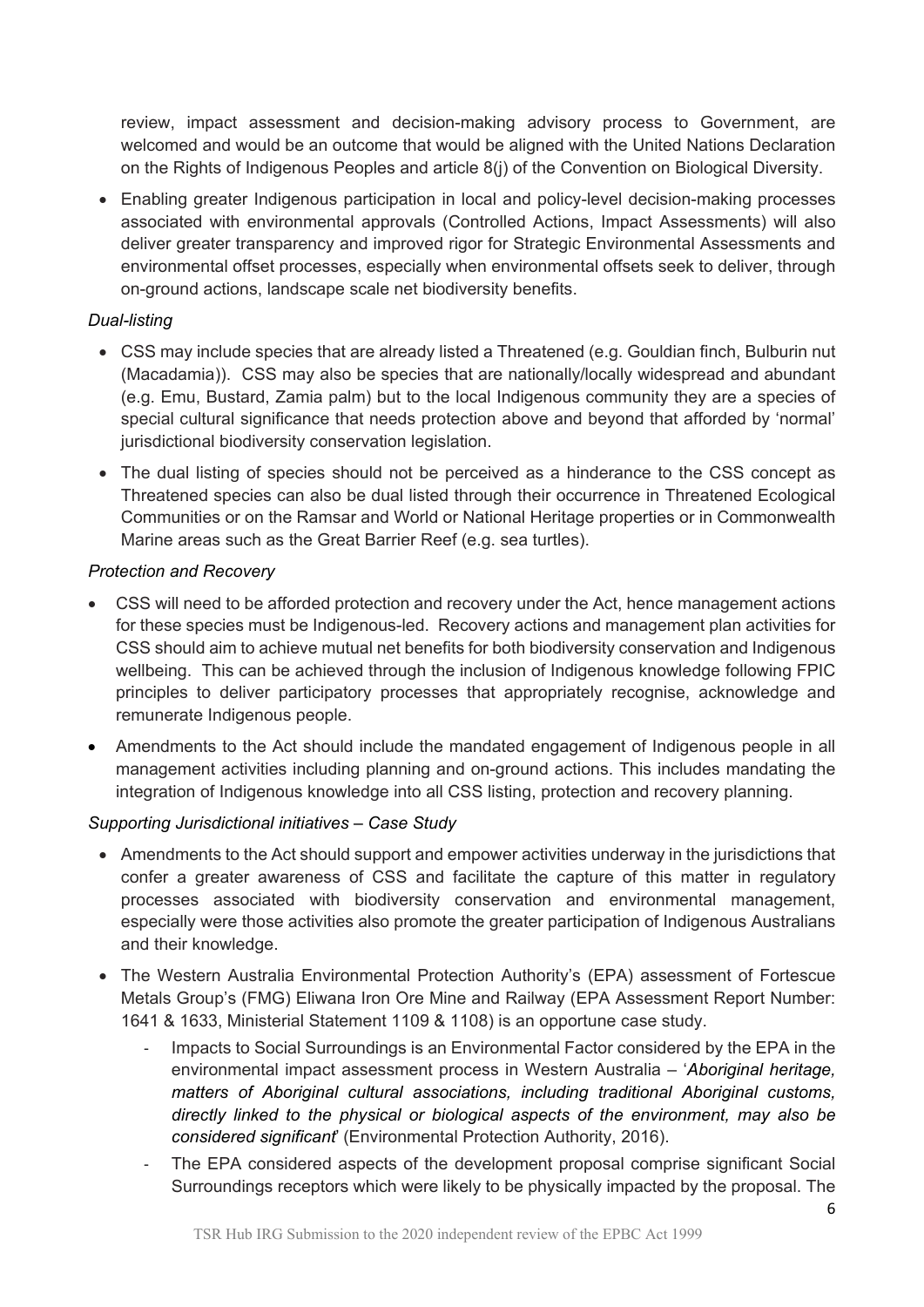review, impact assessment and decision-making advisory process to Government, are welcomed and would be an outcome that would be aligned with the United Nations Declaration on the Rights of Indigenous Peoples and article 8(j) of the Convention on Biological Diversity.

• Enabling greater Indigenous participation in local and policy-level decision-making processes associated with environmental approvals (Controlled Actions, Impact Assessments) will also deliver greater transparency and improved rigor for Strategic Environmental Assessments and environmental offset processes, especially when environmental offsets seek to deliver, through on-ground actions, landscape scale net biodiversity benefits.

#### *Dual-listing*

- CSS may include species that are already listed a Threatened (e.g. Gouldian finch, Bulburin nut (Macadamia)). CSS may also be species that are nationally/locally widespread and abundant (e.g. Emu, Bustard, Zamia palm) but to the local Indigenous community they are a species of special cultural significance that needs protection above and beyond that afforded by 'normal' jurisdictional biodiversity conservation legislation.
- The dual listing of species should not be perceived as a hinderance to the CSS concept as Threatened species can also be dual listed through their occurrence in Threatened Ecological Communities or on the Ramsar and World or National Heritage properties or in Commonwealth Marine areas such as the Great Barrier Reef (e.g. sea turtles).

#### *Protection and Recovery*

- CSS will need to be afforded protection and recovery under the Act, hence management actions for these species must be Indigenous-led. Recovery actions and management plan activities for CSS should aim to achieve mutual net benefits for both biodiversity conservation and Indigenous wellbeing. This can be achieved through the inclusion of Indigenous knowledge following FPIC principles to deliver participatory processes that appropriately recognise, acknowledge and remunerate Indigenous people.
- Amendments to the Act should include the mandated engagement of Indigenous people in all management activities including planning and on-ground actions. This includes mandating the integration of Indigenous knowledge into all CSS listing, protection and recovery planning.

#### *Supporting Jurisdictional initiatives – Case Study*

- Amendments to the Act should support and empower activities underway in the jurisdictions that confer a greater awareness of CSS and facilitate the capture of this matter in regulatory processes associated with biodiversity conservation and environmental management, especially were those activities also promote the greater participation of Indigenous Australians and their knowledge.
- The Western Australia Environmental Protection Authority's (EPA) assessment of Fortescue Metals Group's (FMG) Eliwana Iron Ore Mine and Railway (EPA Assessment Report Number: 1641 & 1633, Ministerial Statement 1109 & 1108) is an opportune case study.
	- Impacts to Social Surroundings is an Environmental Factor considered by the EPA in the environmental impact assessment process in Western Australia – '*Aboriginal heritage, matters of Aboriginal cultural associations, including traditional Aboriginal customs, directly linked to the physical or biological aspects of the environment, may also be considered significant*' (Environmental Protection Authority, 2016).
	- The EPA considered aspects of the development proposal comprise significant Social Surroundings receptors which were likely to be physically impacted by the proposal. The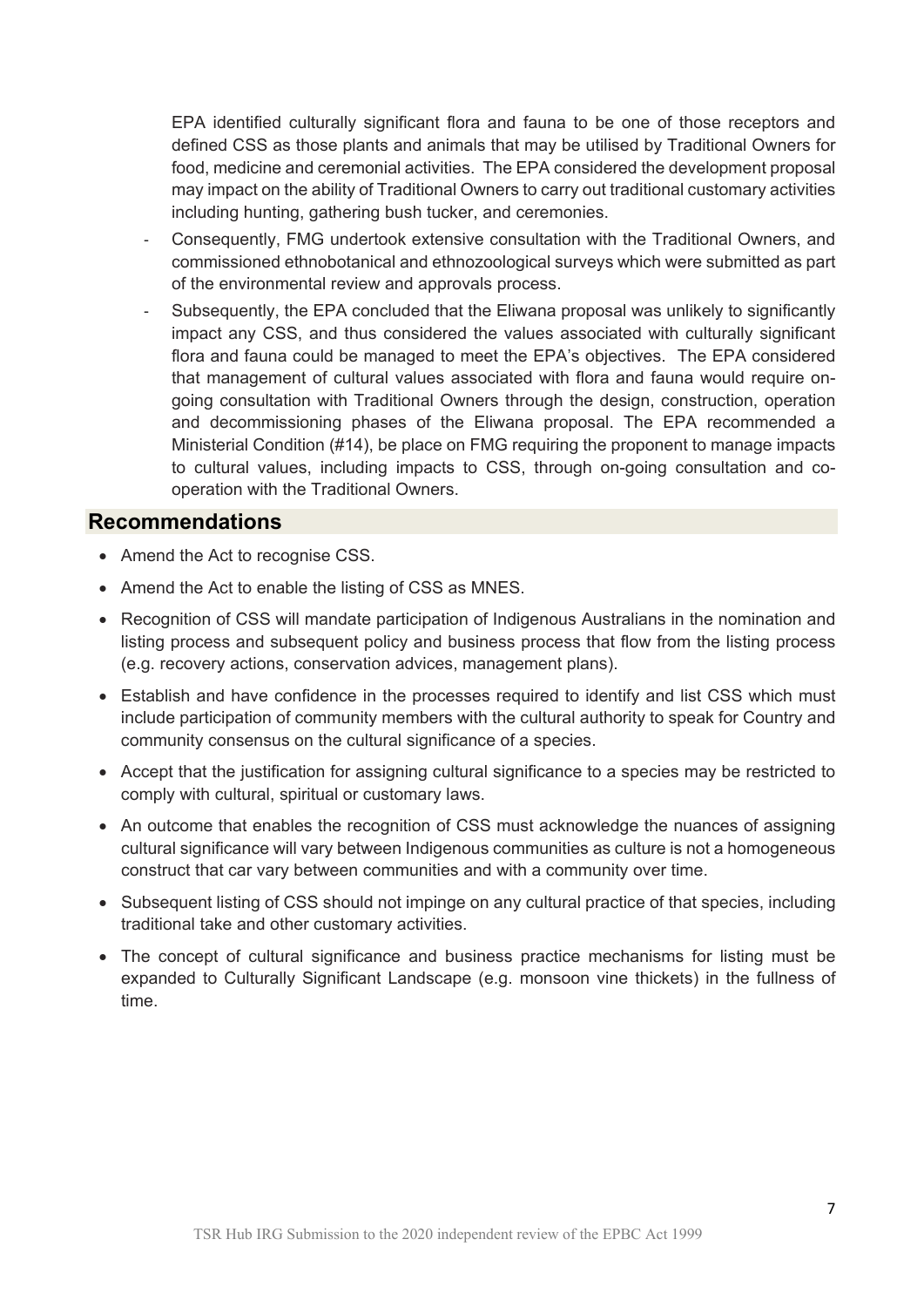EPA identified culturally significant flora and fauna to be one of those receptors and defined CSS as those plants and animals that may be utilised by Traditional Owners for food, medicine and ceremonial activities. The EPA considered the development proposal may impact on the ability of Traditional Owners to carry out traditional customary activities including hunting, gathering bush tucker, and ceremonies.

- Consequently, FMG undertook extensive consultation with the Traditional Owners, and commissioned ethnobotanical and ethnozoological surveys which were submitted as part of the environmental review and approvals process.
- Subsequently, the EPA concluded that the Eliwana proposal was unlikely to significantly impact any CSS, and thus considered the values associated with culturally significant flora and fauna could be managed to meet the EPA's objectives. The EPA considered that management of cultural values associated with flora and fauna would require ongoing consultation with Traditional Owners through the design, construction, operation and decommissioning phases of the Eliwana proposal. The EPA recommended a Ministerial Condition (#14), be place on FMG requiring the proponent to manage impacts to cultural values, including impacts to CSS, through on-going consultation and cooperation with the Traditional Owners.

#### **Recommendations**

- Amend the Act to recognise CSS.
- Amend the Act to enable the listing of CSS as MNES.
- Recognition of CSS will mandate participation of Indigenous Australians in the nomination and listing process and subsequent policy and business process that flow from the listing process (e.g. recovery actions, conservation advices, management plans).
- Establish and have confidence in the processes required to identify and list CSS which must include participation of community members with the cultural authority to speak for Country and community consensus on the cultural significance of a species.
- Accept that the justification for assigning cultural significance to a species may be restricted to comply with cultural, spiritual or customary laws.
- An outcome that enables the recognition of CSS must acknowledge the nuances of assigning cultural significance will vary between Indigenous communities as culture is not a homogeneous construct that car vary between communities and with a community over time.
- Subsequent listing of CSS should not impinge on any cultural practice of that species, including traditional take and other customary activities.
- The concept of cultural significance and business practice mechanisms for listing must be expanded to Culturally Significant Landscape (e.g. monsoon vine thickets) in the fullness of time.